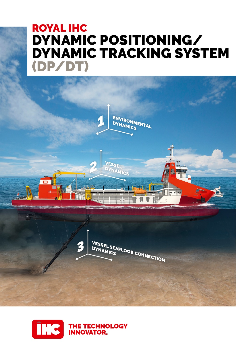## ROYAL IHC DYNAMIC POSITIONING/ DYNAMIC TRACKING SYSTEM (DP/DT)



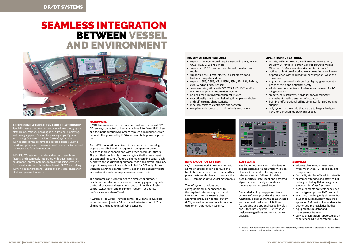# SEAMLESS INTEGRATION BETWEEN VESSEL AND ENVIRONMENT



#### ADDRESSING A TRIPLE DYNAMIC RELATIONSHIP

Specialist vessels perform essential maritime dredging and offshore operations, including rock dumping, pipelaying, and diving support. Beyond free sailing ships, Dynamic Positioning / Dynamic Tracking (DP/DT) systems on such specialist vessels have to address a triple dynamic relationship between the vessel, environmental forces and the vessel-seafloor 'connection'.

IHC's DP/DT system optimally addresses these three factors, and seamlessly integrates with existing mission equipment control systems, optimally utilising a vessel's functional features. It is the benchmark DP/DT for trailing suction hopper dredgers (TSHDs) and the ideal choice for offshore specialist vessels.

## **HARDWARE**

DP/DT features one, two or more certified and marinised DP/ DT servers, connected to human machine interface (HMI) clients and the input output (I/O) system through a redundant server network. It is powered by UPS (uninterruptible power supplies) units.

Each HMI is operation-centred. It includes a touch conning display, a trackball and – if required – an operator panel, designed in close cooperation with experienced DP Officers. The certified conning display/mouse/trackball arrangement and optional repeaters feature eight main conning pages, each dedicated to the current operational mode and several auxiliary pages. Consequence Analysis is included for DP2 only. Acoustic warnings alert the operator of vital actions. DP capability plots and onboard simulator pages can also be ordered.

The operator panel contributes to a simpler operation. It facilitates the selection of mode and conning pages, steppedcontrol allocation and vessel axis control. Smooth and safe control switch-over, and maximum freedom for operator preferences, are also offered.

DP/DT systems work in conjunction with all major equipment on board, so this has to be operational. The vessel and her power systems also have to translate the DP/DT commands into vessel movements.

The I/O system provides both configurable serial connections to the required reference systems and integration into the vessel's class approved propulsion control system (PCS), as well as connections for mission equipment automation systems.



## **SOFTWARE**

The hydromechanical control software applies extended Kalman filter modules, also used for dead reckoning during reference system failures. Modelbased, Artificial Intelligent and patented algorithms, accurately estimate and process varying external forces.

\* Please note, performance and outlook of actual systems may deviate from those presented in this document, depending on technology and ordered options

A wireless – or wired – remote control (RC) panel is available in two versions: joystick DP or manual actuator control. This eliminates the need to install wing consoles.

#### INPUT/OUTPUT SYSTEM

- Transit, Sail Pilot, DT-Sail, Medium Pilot, DT-Medium, DT-Slow, DP Joystick Position Control, DP-Auto modes *(Optional: DP-Follow and/or Anchor Assist mode)*
- optimal utilisation of workable windows: increased levels of production with reduced fuel consumption, wear and downtime
- ergonomic keyboard and conning display: gives operators peace of mind and optimises safety
- wireless remote control unit eliminates the need for DP wing consoles
- smooth, easy, intuitive, individual and/or collective manual/automatic transition of actuators.
- built-in and/or optional offline simulator for DPO training support
- only system in the world that is able to keep a dredging TSHD on a predefined track and speed.



Embedded and type-approved track control software provides the necessary functions, including inertia-compensated autopilot and track control. Built-in features include optional capability plots and – for Class 2 systems – alternative position suggestions and consequence analysis.

#### SERVICES

- address class rule, arrangement, hydromechanical, DP capability and design issues
- feasibility studies offered for retrofits
- customer-attended and attested FAT testing, including FMEA design and
- execution for Class 2 systems • harbour acceptance tests concluded
- with a type-approved HAT protocol
- sea trials, involving only three to four days at sea, concluded with a typeapproved SAT protocol as evidence to authorities and legislative bodies
- equipment, simulator and maintenance training
- service organisation supported by an experienced DP support team, 24/7.

#### IHC DP/DT MAIN FEATURES

- supports the operational requirements of TSHDs, FPSOs, OCVs, PLVs, DSVs and similar
- supports FPP, CPP, azimuth and tunnel thrusters, and rudders
- supports diesel-direct, electric, diesel-electric and hydraulic propulsion drives
- supports GPS, DGPS, MRU, USBL, SSBL, SBL, LBL, RADius, gyro, wind and force sensors
- seamless integration with PCS, TCS, PMS, VMS and/or mission equipment automation systems
- no need for prior hydromechanical studies
- exceptionally short commissioning time: plug-and-play and self-learning characteristics
- $\bullet$  modular, certified electronics and software
- complies with standard maritime body regulations.



### OPERATIONAL FEATURES